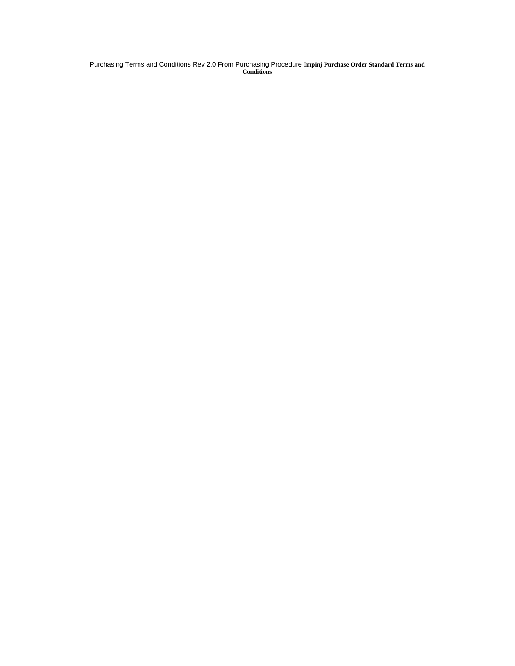Purchasing Terms and Conditions Rev 2.0 From Purchasing Procedure **Impinj Purchase Order Standard Terms and Conditions**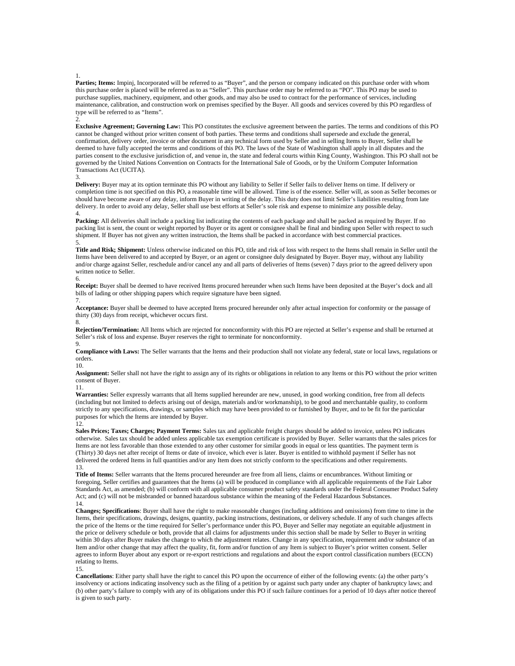#### 1.

2.

**Parties; Items:** Impinj, Incorporated will be referred to as "Buyer", and the person or company indicated on this purchase order with whom this purchase order is placed will be referred as to as "Seller". This purchase order may be referred to as "PO". This PO may be used to purchase supplies, machinery, equipment, and other goods, and may also be used to contract for the performance of services, including maintenance, calibration, and construction work on premises specified by the Buyer. All goods and services covered by this PO regardless of type will be referred to as "Items".

**Exclusive Agreement; Governing Law:** This PO constitutes the exclusive agreement between the parties. The terms and conditions of this PO cannot be changed without prior written consent of both parties. These terms and conditions shall supersede and exclude the general, confirmation, delivery order, invoice or other document in any technical form used by Seller and in selling Items to Buyer, Seller shall be deemed to have fully accepted the terms and conditions of this PO. The laws of the State of Washington shall apply in all disputes and the parties consent to the exclusive jurisdiction of, and venue in, the state and federal courts within King County, Washington. This PO shall not be governed by the United Nations Convention on Contracts for the International Sale of Goods, or by the Uniform Computer Information Transactions Act (UCITA).

#### 3.

Delivery: Buyer may at its option terminate this PO without any liability to Seller if Seller fails to deliver Items on time. If delivery or completion time is not specified on this PO, a reasonable time will be allowed. Time is of the essence. Seller will, as soon as Seller becomes or should have become aware of any delay, inform Buyer in writing of the delay. This duty does not limit Seller's liabilities resulting from late delivery. In order to avoid any delay, Seller shall use best efforts at Seller's sole risk and expense to minimize any possible delay. 4.

## **Packing:** All deliveries shall include a packing list indicating the contents of each package and shall be packed as required by Buyer. If no packing list is sent, the count or weight reported by Buyer or its agent or consignee shall be final and binding upon Seller with respect to such shipment. If Buyer has not given any written instruction, the Items shall be packed in accordance with best commercial practices. 5.

**Title and Risk; Shipment:** Unless otherwise indicated on this PO, title and risk of loss with respect to the Items shall remain in Seller until the Items have been delivered to and accepted by Buyer, or an agent or consignee duly designated by Buyer. Buyer may, without any liability and/or charge against Seller, reschedule and/or cancel any and all parts of deliveries of Items (seven) 7 days prior to the agreed delivery upon written notice to Seller.

## 6.

**Receipt:** Buyer shall be deemed to have received Items procured hereunder when such Items have been deposited at the Buyer's dock and all bills of lading or other shipping papers which require signature have been signed. 7.

**Acceptance:** Buyer shall be deemed to have accepted Items procured hereunder only after actual inspection for conformity or the passage of thirty (30) days from receipt, whichever occurs first.

8. **Rejection/Termination:** All Items which are rejected for nonconformity with this PO are rejected at Seller's expense and shall be returned at Seller's risk of loss and expense. Buyer reserves the right to terminate for nonconformity.

9. **Compliance with Laws:** The Seller warrants that the Items and their production shall not violate any federal, state or local laws, regulations or orders.

### 10.

**Assignment:** Seller shall not have the right to assign any of its rights or obligations in relation to any Items or this PO without the prior written consent of Buyer.

### 11.

**Warranties:** Seller expressly warrants that all Items supplied hereunder are new, unused, in good working condition, free from all defects (including but not limited to defects arising out of design, materials and/or workmanship), to be good and merchantable quality, to conform strictly to any specifications, drawings, or samples which may have been provided to or furnished by Buyer, and to be fit for the particular purposes for which the Items are intended by Buyer.

### $12.$

**Sales Prices; Taxes; Charges; Payment Terms:** Sales tax and applicable freight charges should be added to invoice, unless PO indicates otherwise. Sales tax should be added unless applicable tax exemption certificate is provided by Buyer. Seller warrants that the sales prices for Items are not less favorable than those extended to any other customer for similar goods in equal or less quantities. The payment term is (Thirty) 30 days net after receipt of Items or date of invoice, which ever is later. Buyer is entitled to withhold payment if Seller has not delivered the ordered Items in full quantities and/or any Item does not strictly conform to the specifications and other requirements. 13.

**Title of Items:** Seller warrants that the Items procured hereunder are free from all liens, claims or encumbrances. Without limiting or foregoing, Seller certifies and guarantees that the Items (a) will be produced in compliance with all applicable requirements of the Fair Labor Standards Act, as amended; (b) will conform with all applicable consumer product safety standards under the Federal Consumer Product Safety Act; and (c) will not be misbranded or banned hazardous substance within the meaning of the Federal Hazardous Substances. 14.

**Changes; Specifications**: Buyer shall have the right to make reasonable changes (including additions and omissions) from time to time in the Items, their specifications, drawings, designs, quantity, packing instructions, destinations, or delivery schedule. If any of such changes affects the price of the Items or the time required for Seller's performance under this PO, Buyer and Seller may negotiate an equitable adjustment in the price or delivery schedule or both, provide that all claims for adjustments under this section shall be made by Seller to Buyer in writing within 30 days after Buyer makes the change to which the adjustment relates. Change in any specification, requirement and/or substance of an Item and/or other change that may affect the quality, fit, form and/or function of any Item is subject to Buyer's prior written consent. Seller agrees to inform Buyer about any export or re-export restrictions and regulations and about the export control classification numbers (ECCN) relating to Items.

# 15.

**Cancellations**: Either party shall have the right to cancel this PO upon the occurrence of either of the following events: (a) the other party's insolvency or actions indicating insolvency such as the filing of a petition by or against such party under any chapter of bankruptcy laws; and (b) other party's failure to comply with any of its obligations under this PO if such failure continues for a period of 10 days after notice thereof is given to such party.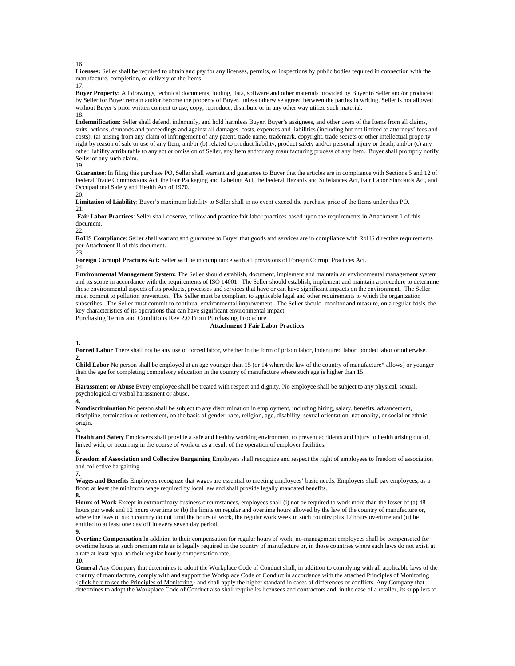16.

**Licenses:** Seller shall be required to obtain and pay for any licenses, permits, or inspections by public bodies required in connection with the manufacture, completion, or delivery of the Items.

17.

**Buyer Property:** All drawings, technical documents, tooling, data, software and other materials provided by Buyer to Seller and/or produced by Seller for Buyer remain and/or become the property of Buyer, unless otherwise agreed between the parties in writing. Seller is not allowed without Buyer's prior written consent to use, copy, reproduce, distribute or in any other way utilize such material. 18.

**Indemnification:** Seller shall defend, indemnify, and hold harmless Buyer, Buyer's assignees, and other users of the Items from all claims, suits, actions, demands and proceedings and against all damages, costs, expenses and liabilities (including but not limited to attorneys' fees and costs): (a) arising from any claim of infringement of any patent, trade name, trademark, copyright, trade secrets or other intellectual property right by reason of sale or use of any Item; and/or (b) related to product liability, product safety and/or personal injury or death; and/or (c) any other liability attributable to any act or omission of Seller, any Item and/or any manufacturing process of any Item.. Buyer shall promptly notify Seller of any such claim.

19.

**Guarantee**: In filing this purchase PO, Seller shall warrant and guarantee to Buyer that the articles are in compliance with Sections 5 and 12 of Federal Trade Commissions Act, the Fair Packaging and Labeling Act, the Federal Hazards and Substances Act, Fair Labor Standards Act, and Occupational Safety and Health Act of 1970.

20.

**Limitation of Liability**: Buyer's maximum liability to Seller shall in no event exceed the purchase price of the Items under this PO. 21.

**Fair Labor Practices**: Seller shall observe, follow and practice fair labor practices based upon the requirements in Attachment 1 of this document.

22.

**RoHS Compliance**: Seller shall warrant and guarantee to Buyer that goods and services are in compliance with RoHS directive requirements per Attachment II of this document.

23.

**Foreign Corrupt Practices Act:** Seller will be in compliance with all provisions of Foreign Corrupt Practices Act.

24.

**Environmental Management System:** The Seller should establish, document, implement and maintain an environmental management system and its scope in accordance with the requirements of ISO 14001. The Seller should establish, implement and maintain a procedure to determine those environmental aspects of its products, processes and services that have or can have significant impacts on the environment. The Seller must commit to pollution prevention. The Seller must be compliant to applicable legal and other requirements to which the organization subscribes. The Seller must commit to continual environmental improvement. The Seller should monitor and measure, on a regular basis, the key characteristics of its operations that can have significant environmental impact.

Purchasing Terms and Conditions Rev 2.0 From Purchasing Procedure

# **Attachment 1 Fair Labor Practices**

## **1.**

**Forced Labor** There shall not be any use of forced labor, whether in the form of prison labor, indentured labor, bonded labor or otherwise. **2.** 

**Child Labor** No person shall be employed at an age younger than 15 (or 14 where the law of the country of manufacture\* allows) or younger than the age for completing compulsory education in the country of manufacture where such age is higher than 15. **3.** 

**Harassment or Abuse** Every employee shall be treated with respect and dignity. No employee shall be subject to any physical, sexual, psychological or verbal harassment or abuse. **4.** 

**Nondiscrimination** No person shall be subject to any discrimination in employment, including hiring, salary, benefits, advancement, discipline, termination or retirement, on the basis of gender, race, religion, age, disability, sexual orientation, nationality, or social or ethnic origin.

**5.** 

**Health and Safety** Employers shall provide a safe and healthy working environment to prevent accidents and injury to health arising out of, linked with, or occurring in the course of work or as a result of the operation of employer facilities. **6.** 

**Freedom of Association and Collective Bargaining** Employers shall recognize and respect the right of employees to freedom of association and collective bargaining.

**7.** 

**Wages and Benefits** Employers recognize that wages are essential to meeting employees' basic needs. Employers shall pay employees, as a floor; at least the minimum wage required by local law and shall provide legally mandated benefits. **8.** 

**Hours of Work** Except in extraordinary business circumstances, employees shall (i) not be required to work more than the lesser of (a) 48 hours per week and 12 hours overtime or (b) the limits on regular and overtime hours allowed by the law of the country of manufacture or, where the laws of such country do not limit the hours of work, the regular work week in such country plus 12 hours overtime and (ii) be entitled to at least one day off in every seven day period.

**Overtime Compensation** In addition to their compensation for regular hours of work, no-management employees shall be compensated for overtime hours at such premium rate as is legally required in the country of manufacture or, in those countries where such laws do not exist, at a rate at least equal to their regular hourly compensation rate.

**10.** 

**General** Any Company that determines to adopt the Workplace Code of Conduct shall, in addition to complying with all applicable laws of the country of manufacture, comply with and support the Workplace Code of Conduct in accordance with the attached Principles of Monitoring {click here to see the Principles of Monitoring} and shall apply the higher standard in cases of differences or conflicts. Any Company that determines to adopt the Workplace Code of Conduct also shall require its licensees and contractors and, in the case of a retailer, its suppliers to

**<sup>9.</sup>**